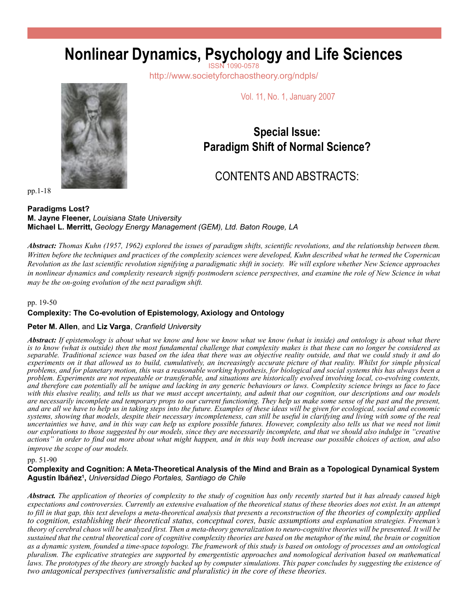# **Nonlinear Dynamics, Psychology and Life Sciences**

http://www.societyforchaostheory.org/ndpls/

Vol. 11, No. 1, January 2007

## **Special Issue: Paradigm Shift of Normal Science?**

# CONTENTS AND ABSTRACTS:

pp.1-18

**Paradigms Lost? M. Jayne Fleener,** *Louisiana State University* **Michael L. Merritt,** *Geology Energy Management (GEM), Ltd. Baton Rouge, LA*

*Abstract: Thomas Kuhn (1957, 1962) explored the issues of paradigm shifts, scientific revolutions, and the relationship between them. Written before the techniques and practices of the complexity sciences were developed, Kuhn described what he termed the Copernican Revolution as the last scientific revolution signifying a paradigmatic shift in society. We will explore whether New Science approaches in nonlinear dynamics and complexity research signify postmodern science perspectives, and examine the role of New Science in what may be the on-going evolution of the next paradigm shift.* 

pp. 19-50

#### **Complexity: The Co-evolution of Epistemology, Axiology and Ontology**

#### **Peter M. Allen**, and **Liz Varga**, *Cranfield University*

*Abstract: If epistemology is about what we know and how we know what we know (what is inside) and ontology is about what there is to know (what is outside) then the most fundamental challenge that complexity makes is that these can no longer be considered as separable. Traditional science was based on the idea that there was an objective reality outside, and that we could study it and do experiments on it that allowed us to build, cumulatively, an increasingly accurate picture of that reality. Whilst for simple physical problems, and for planetary motion, this was a reasonable working hypothesis, for biological and social systems this has always been a problem. Experiments are not repeatable or transferable, and situations are historically evolved involving local, co-evolving contexts, and therefore can potentially all be unique and lacking in any generic behaviours or laws. Complexity science brings us face to face with this elusive reality, and tells us that we must accept uncertainty, and admit that our cognition, our descriptions and our models are necessarily incomplete and temporary props to our current functioning. They help us make some sense of the past and the present, and are all we have to help us in taking steps into the future. Examples of these ideas will be given for ecological, social and economic systems, showing that models, despite their necessary incompleteness, can still be useful in clarifying and living with some of the real uncertainties we have, and in this way can help us explore possible futures. However, complexity also tells us that we need not limit our explorations to those suggested by our models, since they are necessarily incomplete, and that we should also indulge in "creative actions" in order to find out more about what might happen, and in this way both increase our possible choices of action, and also improve the scope of our models.*

pp. 51-90

#### **Complexity and Cognition: A Meta-Theoretical Analysis of the Mind and Brain as a Topological Dynamical System Agustín Ibáñez1 ,** *Universidad Diego Portales, Santiago de Chile*

*Abstract. The application of theories of complexity to the study of cognition has only recently started but it has already caused high expectations and controversies. Currently an extensive evaluation of the theoretical status of these theories does not exist. In an attempt to fill in that gap, this text develops a meta-theoretical analysis that presents a reconstruction of the theories of complexity applied to cognition, establishing their theoretical status, conceptual cores, basic assumptions and explanation strategies. Freeman's theory of cerebral chaos will be analyzed first. Then a meta-theory generalization to neuro-cognitive theories will be presented. It will be sustained that the central theoretical core of cognitive complexity theories are based on the metaphor of the mind, the brain or cognition as a dynamic system, founded a time-space topology. The framework of this study is based on ontology of processes and an ontological pluralism. The explicative strategies are supported by emergentistic approaches and nomological derivation based on mathematical laws. The prototypes of the theory are strongly backed up by computer simulations. This paper concludes by suggesting the existence of two antagonical perspectives (universalistic and pluralistic) in the core of these theories.*

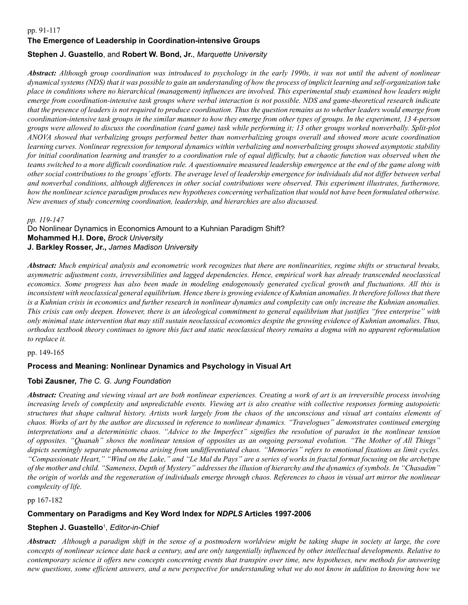#### pp. 91-117

#### **The Emergence of Leadership in Coordination-intensive Groups**

#### **Stephen J. Guastello**, and **Robert W. Bond, Jr.**, *Marquette University*

*Abstract: Although group coordination was introduced to psychology in the early 1990s, it was not until the advent of nonlinear dynamical systems (NDS) that it was possible to gain an understanding of how the process of implicit learning and self-organization take place in conditions where no hierarchical (management) influences are involved. This experimental study examined how leaders might emerge from coordination-intensive task groups where verbal interaction is not possible. NDS and game-theoretical research indicate that the presence of leaders is not required to produce coordination. Thus the question remains as to whether leaders would emerge from coordination-intensive task groups in the similar manner to how they emerge from other types of groups. In the experiment, 13 4-person groups were allowed to discuss the coordination (card game) task while performing it; 13 other groups worked nonverbally. Split-plot ANOVA showed that verbalizing groups performed better than nonverbalizing groups overall and showed more acute coordination learning curves. Nonlinear regression for temporal dynamics within verbalizing and nonverbalizing groups showed asymptotic stability*  for initial coordination learning and transfer to a coordination rule of equal difficulty, but a chaotic function was observed when the *teams switched to a more difficult coordination rule. A questionnaire measured leadership emergence at the end of the game along with other social contributions to the groups' efforts. The average level of leadership emergence for individuals did not differ between verbal and nonverbal conditions, although differences in other social contributions were observed. This experiment illustrates, furthermore, how the nonlinear science paradigm produces new hypotheses concerning verbalization that would not have been formulated otherwise. New avenues of study concerning coordination, leadership, and hierarchies are also discussed.*

*pp. 119-147*

Do Nonlinear Dynamics in Economics Amount to a Kuhnian Paradigm Shift? **Mohammed H.I. Dore,** *Brock University* **J. Barkley Rosser, Jr.,** *James Madison University*

*Abstract: Much empirical analysis and econometric work recognizes that there are nonlinearities, regime shifts or structural breaks, asymmetric adjustment costs, irreversibilities and lagged dependencies. Hence, empirical work has already transcended neoclassical economics. Some progress has also been made in modeling endogenously generated cyclical growth and fluctuations. All this is*  inconsistent with neoclassical general equilibrium. Hence there is growing evidence of Kuhnian anomalies. It therefore follows that there *is a Kuhnian crisis in economics and further research in nonlinear dynamics and complexity can only increase the Kuhnian anomalies. This crisis can only deepen. However, there is an ideological commitment to general equilibrium that justifies "free enterprise" with only minimal state intervention that may still sustain neoclassical economics despite the growing evidence of Kuhnian anomalies. Thus, orthodox textbook theory continues to ignore this fact and static neoclassical theory remains a dogma with no apparent reformulation to replace it.* 

pp. 149-165

#### **Process and Meaning: Nonlinear Dynamics and Psychology in Visual Art**

#### **Tobi Zausner,** *The C. G. Jung Foundation*

*Abstract: Creating and viewing visual art are both nonlinear experiences. Creating a work of art is an irreversible process involving increasing levels of complexity and unpredictable events. Viewing art is also creative with collective responses forming autopoietic structures that shape cultural history. Artists work largely from the chaos of the unconscious and visual art contains elements of chaos. Works of art by the author are discussed in reference to nonlinear dynamics. "Travelogues" demonstrates continued emerging interpretations and a deterministic chaos. "Advice to the Imperfect" signifies the resolution of paradox in the nonlinear tension of opposites. "Quanah" shows the nonlinear tension of opposites as an ongoing personal evolution. "The Mother of All Things" depicts seemingly separate phenomena arising from undifferentiated chaos. "Memories" refers to emotional fixations as limit cycles. "Compassionate Heart," "Wind on the Lake," and "Le Mal du Pays" are a series of works in fractal format focusing on the archetype of the mother and child. "Sameness, Depth of Mystery" addresses the illusion of hierarchy and the dynamics of symbols. In "Chasadim" the origin of worlds and the regeneration of individuals emerge through chaos. References to chaos in visual art mirror the nonlinear complexity of life.* 

pp 167-182

### **Commentary on Paradigms and Key Word Index for** *NDPLS* **Articles 1997-2006**

### **Stephen J. Guastello**<sup>1</sup> , *Editor-in-Chief*

*Abstract: Although a paradigm shift in the sense of a postmodern worldview might be taking shape in society at large, the core concepts of nonlinear science date back a century, and are only tangentially influenced by other intellectual developments. Relative to contemporary science it offers new concepts concerning events that transpire over time, new hypotheses, new methods for answering new questions, some efficient answers, and a new perspective for understanding what we do not know in addition to knowing how we*